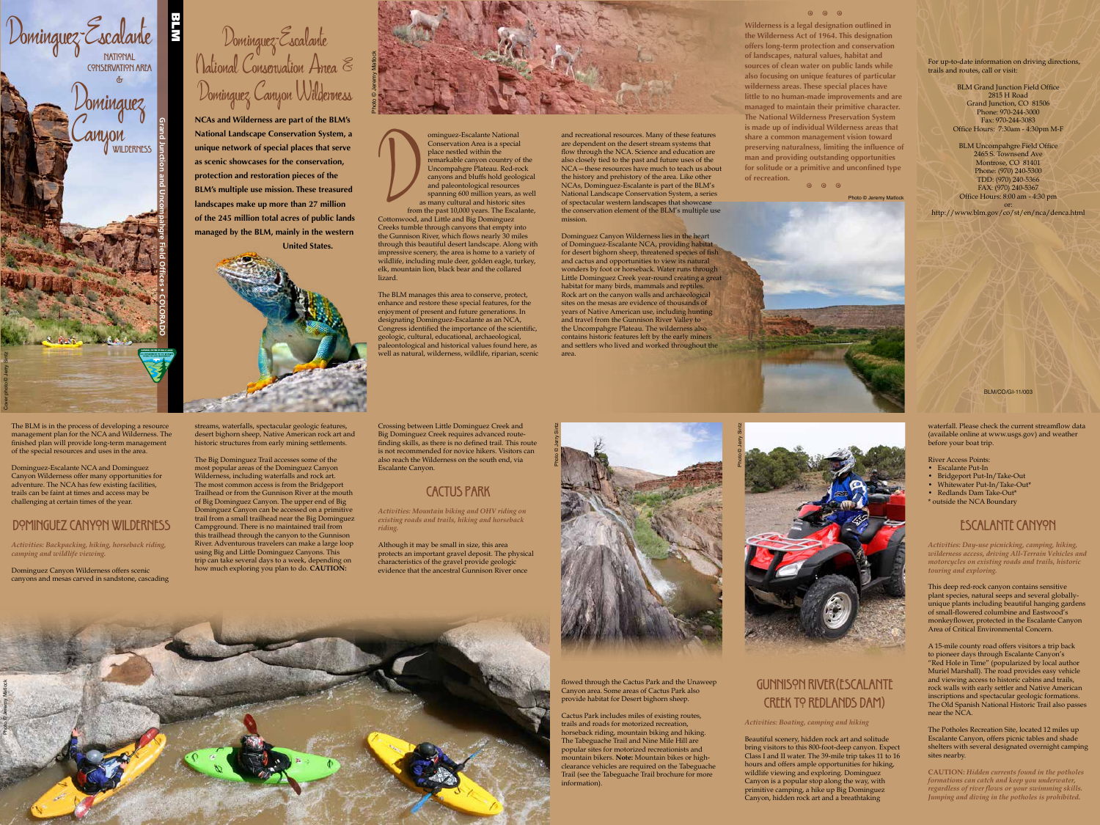BLM/CO/GI-11/003

For up-to-date information on driving directions, trails and routes, call or visit:

> BLM Grand Junction Field Office 2815 H Road Grand Junction, CO 81506 Phone: 970-244-3000 Fax: 970-244-3083 Office Hours: 7:30am - 4:30pm M-F

BLM Uncompahgre Field Office 2465 S. Townsend Ave Montrose, CO 81401 Phone: (970) 240-5300 TDD: (970) 240-5366 FAX: (970) 240-5367 Office Hours: 8:00 am - 4:30 pm

or: http://www.blm.gov/co/st/en/nca/denca.html

Dominguez-Escalante National Conservation Area & Dominguez Canyon Wilderness

from the past 10,000 years. The Escalante, Cottonwood, and Little and Big Dominguez Creeks tumble through canyons that empty into the Gunnison River, which flows nearly 30 miles through this beautiful desert landscape. Along with impressive scenery, the area is home to a variety of wildlife, including mule deer, golden eagle, turkey, elk, mountain lion, black bear and the collared lizard. freeks tuml<br>Cottonwood<br>Creeks tuml<br>the Gunnisc

**NCAs and Wilderness are part of the BLM's National Landscape Conservation System, a unique network of special places that serve as scenic showcases for the conservation, protection and restoration pieces of the BLM's multiple use mission. These treasured landscapes make up more than 27 million of the 245 million total acres of public lands managed by the BLM, mainly in the western United States.**



ominguez-Escalante National Conservation Area is a special place nestled within the remarkable canyon country of the Uncompahgre Plateau. Red-rock canyons and bluffs hold geological and paleontological resources spanning 600 million years, as well as many cultural and historic sites

The BLM manages this area to conserve, protect, enhance and restore these special features, for the enjoyment of present and future generations. In designating Dominguez-Escalante as an NCA, Congress identified the importance of the scientific, geologic, cultural, educational, archaeological, paleontological and historical values found here, as well as natural, wilderness, wildlife, riparian, scenic and recreational resources. Many of these features are dependent on the desert stream systems that flow through the NCA. Science and education are also closely tied to the past and future uses of the NCA—these resources have much to teach us about the history and prehistory of the area. Like other NCAs, Dominguez-Escalante is part of the BLM's National Landscape Conservation System, a series of spectacular western landscapes that showcase the conservation element of the BLM's multiple use mission.

Dominguez Canyon Wilderness lies in the heart of Dominguez-Escalante NCA, providing habitat for desert bighorn sheep, threatened species of fish and cactus and opportunities to view its natural wonders by foot or horseback. Water runs through Little Dominguez Creek year-round creating a great habitat for many birds, mammals and reptiles. Rock art on the canyon walls and archaeological sites on the mesas are evidence of thousands of years of Native American use, including hunting and travel from the Gunnison River Valley to the Uncompahgre Plateau. The wilderness also contains historic features left by the early miners and settlers who lived and worked throughout the area.

#### $9 \t 9 \t 9$

## Gunnison River(Escalante CREEK TO REDLANDS DAM)

The BLM is in the process of developing a resource management plan for the NCA and Wilderness. The finished plan will provide long-term management of the special resources and uses in the area.



Dominguez-Escalante NCA and Dominguez Canyon Wilderness offer many opportunities for adventure. The NCA has few existing facilities, trails can be faint at times and access may be challenging at certain times of the year.

#### DOMINGUEZ CANYON WILDERNESS

*Activities: Backpacking, hiking, horseback riding, camping and wildlife viewing.*

Dominguez Canyon Wilderness offers scenic canyons and mesas carved in sandstone, cascading streams, waterfalls, spectacular geologic features, desert bighorn sheep, Native American rock art and historic structures from early mining settlements.

The Big Dominguez Trail accesses some of the most popular areas of the Dominguez Canyon Wilderness, including waterfalls and rock art. The most common access is from the Bridgeport Trailhead or from the Gunnison River at the mouth of Big Dominguez Canyon. The upper end of Big Dominguez Canyon can be accessed on a primitive trail from a small trailhead near the Big Dominguez Campground. There is no maintained trail from this trailhead through the canyon to the Gunnison River. Adventurous travelers can make a large loop using Big and Little Dominguez Canyons. This trip can take several days to a week, depending on how much exploring you plan to do. **CAUTION:**

Crossing between Little Dominguez Creek and Big Dominguez Creek requires advanced routefinding skills, as there is no defined trail. This route is not recommended for novice hikers. Visitors can also reach the Wilderness on the south end, via Escalante Canyon.

# Cactus Park

*Activities: Mountain biking and OHV riding on existing roads and trails, hiking and horseback riding.*

**Wilderness is a legal designation outlined in the Wilderness Act of 1964. This designation offers long-term protection and conservation of landscapes, natural values, habitat and sources of clean water on public lands while also focusing on unique features of particular wilderness areas. These special places have little to no human-made improvements and are managed to maintain their primitive character. The National Wilderness Preservation System is made up of individual Wilderness areas that share a common management vision toward preserving naturalness, limiting the influence of man and providing outstanding opportunities for solitude or a primitive and unconfined type of recreation.** 9 9 9

Although it may be small in size, this area protects an important gravel deposit. The physical characteristics of the gravel provide geologic evidence that the ancestral Gunnison River once

> flowed through the Cactus Park and the Unaweep Canyon area. Some areas of Cactus Park also provide habitat for Desert bighorn sheep.

> Cactus Park includes miles of existing routes, trails and roads for motorized recreation, horseback riding, mountain biking and hiking. The Tabeguache Trail and Nine Mile Hill are popular sites for motorized recreationists and mountain bikers. **Note:** Mountain bikes or highclearance vehicles are required on the Tabeguache Trail (see the Tabeguache Trail brochure for more information).

*Activities: Boating, camping and hiking*

Beautiful scenery, hidden rock art and solitude bring visitors to this 800-foot-deep canyon. Expect Class I and II water. The 39-mile trip takes 11 to 16 hours and offers ample opportunities for hiking, wildlife viewing and exploring. Dominguez Canyon is a popular stop along the way, with primitive camping, a hike up Big Dominguez Canyon, hidden rock art and a breathtaking

waterfall. Please check the current streamflow data (available online at www.usgs.gov) and weather

before your boat trip.

River Access Points:

• Escalante Put-In

- Bridgeport Put-In/Take-Out
- Whitewater Put-In/Take-Out\*
- Redlands Dam Take-Out\*
- \* outside the NCA Boundary

#### Escalante Canyon

*Activities: Day-use picnicking, camping, hiking, wilderness access, driving All-Terrain Vehicles and motorcycles on existing roads and trails, historic touring and exploring.*

This deep red-rock canyon contains sensitive plant species, natural seeps and several globallyunique plants including beautiful hanging gardens of small-flowered columbine and Eastwood's monkeyflower, protected in the Escalante Canyon Area of Critical Environmental Concern.

A 15-mile county road offers visitors a trip back to pioneer days through Escalante Canyon's "Red Hole in Time" (popularized by local author Muriel Marshall). The road provides easy vehicle and viewing access to historic cabins and trails, rock walls with early settler and Native American inscriptions and spectacular geologic formations. The Old Spanish National Historic Trail also passes near the NCA.

The Potholes Recreation Site, located 12 miles up Escalante Canyon, offers picnic tables and shade shelters with several designated overnight camping sites nearby.

**CAUTION:** *Hidden currents found in the potholes formations can catch and keep you underwater, regardless of river flows or your swimming skills. Jumping and diving in the potholes is prohibited.*



Photo © Jeremy Matlock